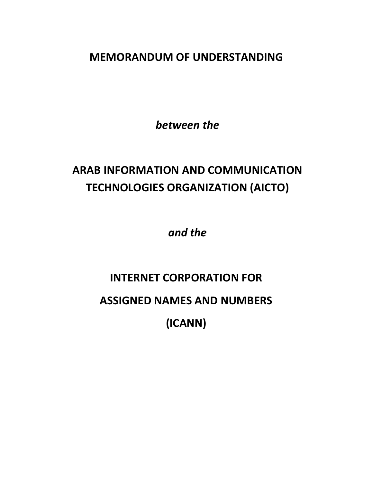**MEMORANDUM OF UNDERSTANDING**

*between the*

# **ARAB INFORMATION AND COMMUNICATION TECHNOLOGIES ORGANIZATION (AICTO)**

*and the*

# **INTERNET CORPORATION FOR ASSIGNED NAMES AND NUMBERS (ICANN)**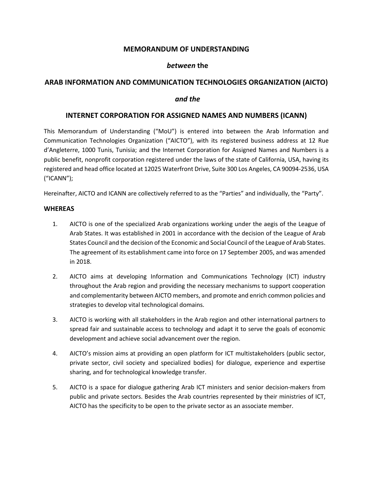#### **MEMORANDUM OF UNDERSTANDING**

#### *between* **the**

#### **ARAB INFORMATION AND COMMUNICATION TECHNOLOGIES ORGANIZATION (AICTO)**

#### *and the*

#### **INTERNET CORPORATION FOR ASSIGNED NAMES AND NUMBERS (ICANN)**

This Memorandum of Understanding ("MoU") is entered into between the Arab Information and Communication Technologies Organization ("AICTO"), with its registered business address at 12 Rue d'Angleterre, 1000 Tunis, Tunisia; and the Internet Corporation for Assigned Names and Numbers is a public benefit, nonprofit corporation registered under the laws of the state of California, USA, having its registered and head office located at 12025 Waterfront Drive, Suite 300 Los Angeles, CA 90094-2536, USA ("ICANN");

Hereinafter, AICTO and ICANN are collectively referred to as the "Parties" and individually, the "Party".

#### **WHEREAS**

- 1. AICTO is one of the specialized Arab organizations working under the aegis of the League of Arab States. It was established in 2001 in accordance with the decision of the League of Arab States Council and the decision of the Economic and Social Council of the League of Arab States. The agreement of its establishment came into force on 17 September 2005, and was amended in 2018.
- 2. AICTO aims at developing Information and Communications Technology (ICT) industry throughout the Arab region and providing the necessary mechanisms to support cooperation and complementarity between AICTO members, and promote and enrich common policies and strategies to develop vital technological domains.
- 3. AICTO is working with all stakeholders in the Arab region and other international partners to spread fair and sustainable access to technology and adapt it to serve the goals of economic development and achieve social advancement over the region.
- 4. AICTO's mission aims at providing an open platform for ICT multistakeholders (public sector, private sector, civil society and specialized bodies) for dialogue, experience and expertise sharing, and for technological knowledge transfer.
- 5. AICTO is a space for dialogue gathering Arab ICT ministers and senior decision-makers from public and private sectors. Besides the Arab countries represented by their ministries of ICT, AICTO has the specificity to be open to the private sector as an associate member.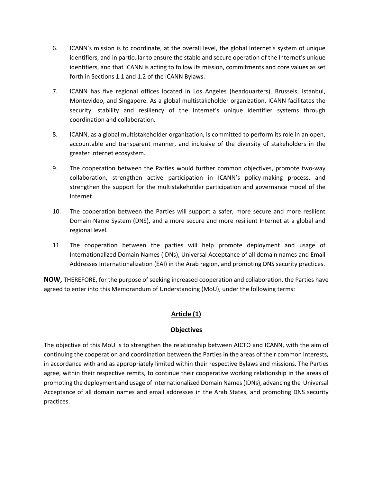- 6. ICANN's mission is to coordinate, at the overall level, the global Internet's system of unique identifiers, and in particular to ensure the stable and secure operation of the Internet's unique identifiers, and that ICANN is acting to follow its mission, commitments and core values as set forth in Sections 1.1 and 1.2 of the ICANN Bylaws.
- 7. ICANN has five regional offices located in Los Angeles (headquarters), Brussels, Istanbul, Montevideo, and Singapore. As a global multistakeholder organization, ICANN facilitates the security, stability and resiliency of the Internet's unique identifier systems through coordination and collaboration.
- 8. ICANN, as a global multistakeholder organization, is committed to perform its role in an open, accountable and transparent manner, and inclusive of the diversity of stakeholders in the greater Internet ecosystem.
- 9. The cooperation between the Parties would further common objectives, promote two-way collaboration, strengthen active participation in ICANN's policy-making process, and strengthen the support for the multistakeholder participation and governance model of the Internet.
- 10. The cooperation between the Parties will support a safer, more secure and more resilient Domain Name System (DNS), and a more secure and more resilient Internet at a global and regional level.
- 11. The cooperation between the parties will help promote deployment and usage of Internationalized Domain Names (IDNs), Universal Acceptance of all domain names and Email Addresses Internationalization (EAI) in the Arab region, and promoting DNS security practices.

**NOW,** THEREFORE, for the purpose of seeking increased cooperation and collaboration, the Parties have agreed to enter into this Memorandum of Understanding (MoU), under the following terms:

# **Article (1)**

#### **Objectives**

The objective of this MoU is to strengthen the relationship between AICTO and ICANN, with the aim of continuing the cooperation and coordination between the Parties in the areas of their common interests, in accordance with and as appropriately limited within their respective Bylaws and missions. The Parties agree, within their respective remits, to continue their cooperative working relationship in the areas of promoting the deployment and usage of Internationalized Domain Names (IDNs), advancing the Universal Acceptance of all domain names and email addresses in the Arab States, and promoting DNS security practices.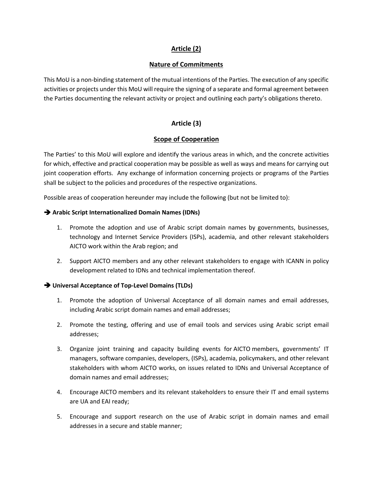# **Article (2)**

#### **Nature of Commitments**

This MoU is a non-binding statement of the mutual intentions of the Parties. The execution of any specific activities or projects under this MoU will require the signing of a separate and formal agreement between the Parties documenting the relevant activity or project and outlining each party's obligations thereto.

# **Article (3)**

#### **Scope of Cooperation**

The Parties' to this MoU will explore and identify the various areas in which, and the concrete activities for which, effective and practical cooperation may be possible as well as ways and means for carrying out joint cooperation efforts. Any exchange of information concerning projects or programs of the Parties shall be subject to the policies and procedures of the respective organizations.

Possible areas of cooperation hereunder may include the following (but not be limited to):

#### è **Arabic Script Internationalized Domain Names (IDNs)**

- 1. Promote the adoption and use of Arabic script domain names by governments, businesses, technology and Internet Service Providers (ISPs), academia, and other relevant stakeholders AICTO work within the Arab region; and
- 2. Support AICTO members and any other relevant stakeholders to engage with ICANN in policy development related to IDNs and technical implementation thereof.

#### è **Universal Acceptance of Top-Level Domains (TLDs)**

- 1. Promote the adoption of Universal Acceptance of all domain names and email addresses, including Arabic script domain names and email addresses;
- 2. Promote the testing, offering and use of email tools and services using Arabic script email addresses;
- 3. Organize joint training and capacity building events for AICTO members, governments' IT managers, software companies, developers, (ISPs), academia, policymakers, and other relevant stakeholders with whom AICTO works, on issues related to IDNs and Universal Acceptance of domain names and email addresses;
- 4. Encourage AICTO members and its relevant stakeholders to ensure their IT and email systems are UA and EAI ready;
- 5. Encourage and support research on the use of Arabic script in domain names and email addresses in a secure and stable manner;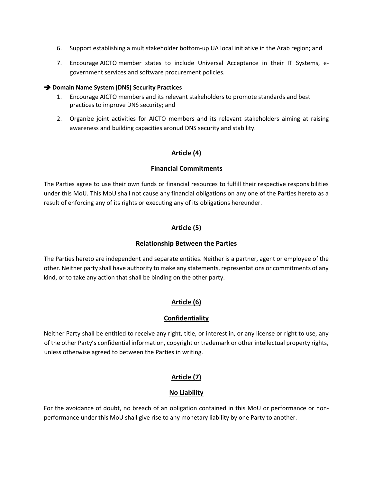- 6. Support establishing a multistakeholder bottom-up UA local initiative in the Arab region; and
- 7. Encourage AICTO member states to include Universal Acceptance in their IT Systems, egovernment services and software procurement policies.

#### $→$  **Domain Name System (DNS) Security Practices**

- 1. Encourage AICTO members and its relevant stakeholders to promote standards and best practices to improve DNS security; and
- 2. Organize joint activities for AICTO members and its relevant stakeholders aiming at raising awareness and building capacities aronud DNS security and stability.

#### **Article (4)**

#### **Financial Commitments**

The Parties agree to use their own funds or financial resources to fulfill their respective responsibilities under this MoU. This MoU shall not cause any financial obligations on any one of the Parties hereto as a result of enforcing any of its rights or executing any of its obligations hereunder.

#### **Article (5)**

#### **Relationship Between the Parties**

The Parties hereto are independent and separate entities. Neither is a partner, agent or employee of the other. Neither party shall have authority to make any statements, representations or commitments of any kind, or to take any action that shall be binding on the other party.

# **Article (6)**

#### **Confidentiality**

Neither Party shall be entitled to receive any right, title, or interest in, or any license or right to use, any of the other Party's confidential information, copyright or trademark or other intellectual property rights, unless otherwise agreed to between the Parties in writing.

#### **Article (7)**

#### **No Liability**

For the avoidance of doubt, no breach of an obligation contained in this MoU or performance or nonperformance under this MoU shall give rise to any monetary liability by one Party to another.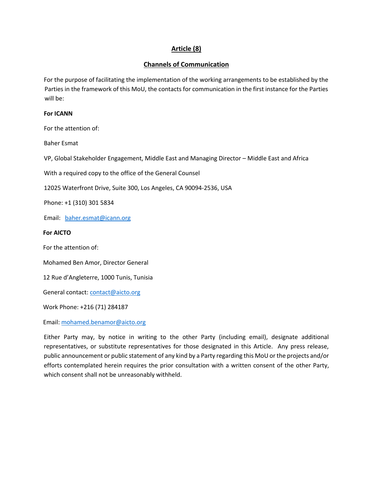# **Article (8)**

#### **Channels of Communication**

For the purpose of facilitating the implementation of the working arrangements to be established by the Parties in the framework of this MoU, the contacts for communication in the first instance for the Parties will be:

#### **For ICANN**

For the attention of:

Baher Esmat

VP, Global Stakeholder Engagement, Middle East and Managing Director – Middle East and Africa

With a required copy to the office of the General Counsel

12025 Waterfront Drive, Suite 300, Los Angeles, CA 90094-2536, USA

Phone: +1 (310) 301 5834

Email: baher.esmat@icann.org

#### **For AICTO**

For the attention of:

Mohamed Ben Amor, Director General

12 Rue d'Angleterre, 1000 Tunis, Tunisia

General contact: contact@aicto.org

Work Phone: +216 (71) 284187

Email: mohamed.benamor@aicto.org

Either Party may, by notice in writing to the other Party (including email), designate additional representatives, or substitute representatives for those designated in this Article. Any press release, public announcement or public statement of any kind by a Party regarding this MoU or the projects and/or efforts contemplated herein requires the prior consultation with a written consent of the other Party, which consent shall not be unreasonably withheld.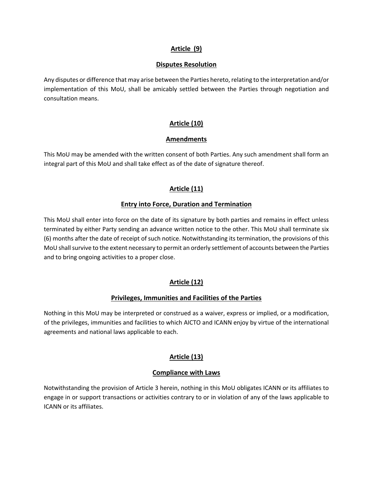#### **Article (9)**

#### **Disputes Resolution**

Any disputes or difference that may arise between the Parties hereto, relating to the interpretation and/or implementation of this MoU, shall be amicably settled between the Parties through negotiation and consultation means.

# **Article (10)**

#### **Amendments**

This MoU may be amended with the written consent of both Parties. Any such amendment shall form an integral part of this MoU and shall take effect as of the date of signature thereof.

#### **Article (11)**

#### **Entry into Force, Duration and Termination**

This MoU shall enter into force on the date of its signature by both parties and remains in effect unless terminated by either Party sending an advance written notice to the other. This MoU shall terminate six (6) months after the date of receipt of such notice. Notwithstanding its termination, the provisions of this MoU shall survive to the extent necessary to permit an orderly settlement of accounts between the Parties and to bring ongoing activities to a proper close.

#### **Article (12)**

#### **Privileges, Immunities and Facilities of the Parties**

Nothing in this MoU may be interpreted or construed as a waiver, express or implied, or a modification, of the privileges, immunities and facilities to which AICTO and ICANN enjoy by virtue of the international agreements and national laws applicable to each.

# **Article (13)**

#### **Compliance with Laws**

Notwithstanding the provision of Article 3 herein, nothing in this MoU obligates ICANN or its affiliates to engage in or support transactions or activities contrary to or in violation of any of the laws applicable to ICANN or its affiliates.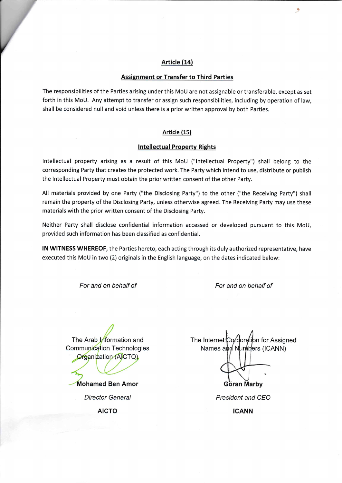#### Article (14)

#### **Assignment or Transfer to Third Parties**

The responsibilities of the Parties arising under this MoU are not assignable or transferable, except as set forth in this MoU. Any attempt to transfer or assign such responsibilities, including by operation of law, shall be considered null and void unless there is a prior written approval by both Parties.

#### Article (15)

#### **Intellectual Property Rights**

Intellectual property arising as a result of this MoU ("Intellectual Property") shall belong to the corresponding Party that creates the protected work. The Party which intend to use, distribute or publish the Intellectual Property must obtain the prior written consent of the other Party.

All materials provided by one Party ("the Disclosing Party") to the other ("the Receiving Party") shall remain the property of the Disclosing Party, unless otherwise agreed. The Receiving Party may use these materials with the prior written consent of the Disclosing Party.

Neither Party shall disclose confidential information accessed or developed pursuant to this MoU, provided such information has been classified as confidential.

IN WITNESS WHEREOF, the Parties hereto, each acting through its duly authorized representative, have executed this MoU in two (2) originals in the English language, on the dates indicated below:

For and on behalf of

For and on behalf of

The Arab Information and Communication Technologies Organization (AICTO) **Mohamed Ben Amor Director General AICTO** 

The Internet Corporation for Assigned Names and Numbers (ICANN) Göran Marby

President and CEO

**ICANN**